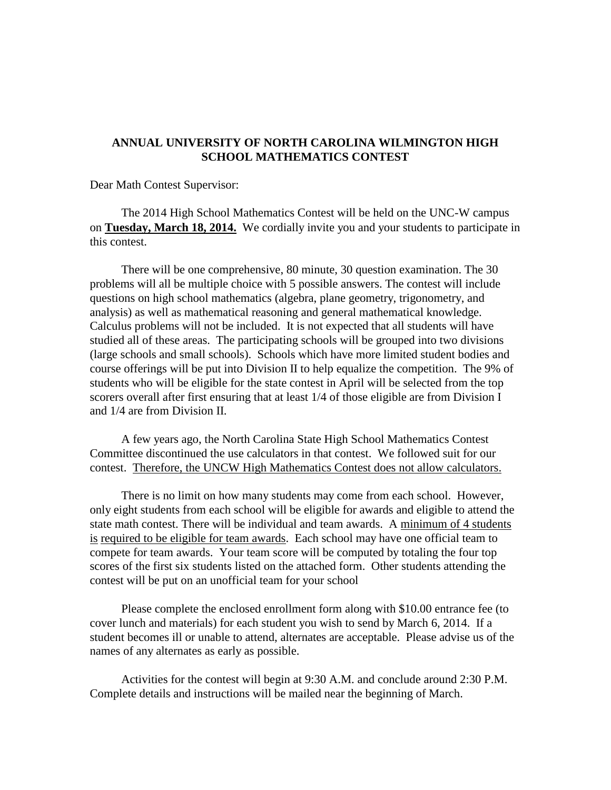## **ANNUAL UNIVERSITY OF NORTH CAROLINA WILMINGTON HIGH SCHOOL MATHEMATICS CONTEST**

Dear Math Contest Supervisor:

The 2014 High School Mathematics Contest will be held on the UNC-W campus on **Tuesday, March 18, 2014.** We cordially invite you and your students to participate in this contest.

There will be one comprehensive, 80 minute, 30 question examination. The 30 problems will all be multiple choice with 5 possible answers. The contest will include questions on high school mathematics (algebra, plane geometry, trigonometry, and analysis) as well as mathematical reasoning and general mathematical knowledge. Calculus problems will not be included. It is not expected that all students will have studied all of these areas. The participating schools will be grouped into two divisions (large schools and small schools). Schools which have more limited student bodies and course offerings will be put into Division II to help equalize the competition. The 9% of students who will be eligible for the state contest in April will be selected from the top scorers overall after first ensuring that at least 1/4 of those eligible are from Division I and 1/4 are from Division II.

A few years ago, the North Carolina State High School Mathematics Contest Committee discontinued the use calculators in that contest. We followed suit for our contest. Therefore, the UNCW High Mathematics Contest does not allow calculators.

There is no limit on how many students may come from each school. However, only eight students from each school will be eligible for awards and eligible to attend the state math contest. There will be individual and team awards. A minimum of 4 students is required to be eligible for team awards. Each school may have one official team to compete for team awards. Your team score will be computed by totaling the four top scores of the first six students listed on the attached form. Other students attending the contest will be put on an unofficial team for your school

Please complete the enclosed enrollment form along with \$10.00 entrance fee (to cover lunch and materials) for each student you wish to send by March 6, 2014. If a student becomes ill or unable to attend, alternates are acceptable. Please advise us of the names of any alternates as early as possible.

Activities for the contest will begin at 9:30 A.M. and conclude around 2:30 P.M. Complete details and instructions will be mailed near the beginning of March.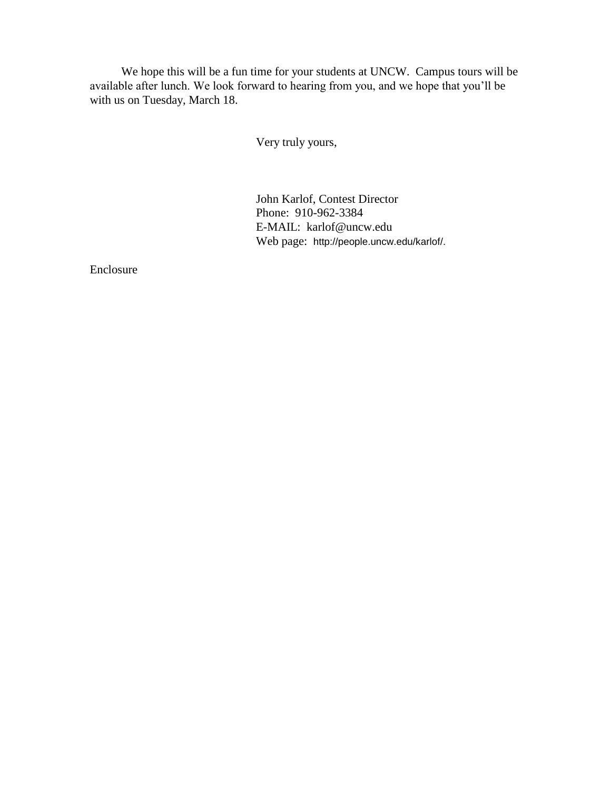We hope this will be a fun time for your students at UNCW. Campus tours will be available after lunch. We look forward to hearing from you, and we hope that you'll be with us on Tuesday, March 18.

Very truly yours,

John Karlof, Contest Director Phone: 910-962-3384 E-MAIL: karlof@uncw.edu Web page: http://people.uncw.edu/karlof/.

Enclosure